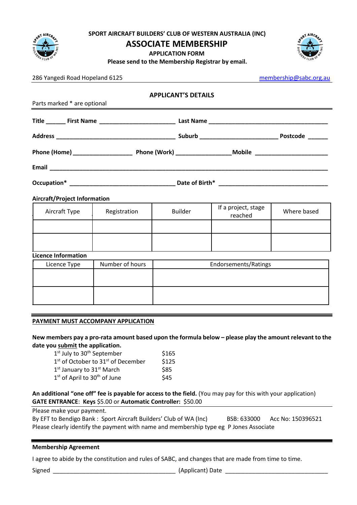

**SPORT AIRCRAFT BUILDERS' CLUB OF WESTERN AUSTRALIA (INC)**

## **ASSOCIATE MEMBERSHIP**

**APPLICATION FORM**



**Please send to the Membership Registrar by email.**

| 286 Yangedi Road Hopeland 6125             |                 |                                                                                                                                                                                                                               | membership@sabc.org.au         |             |
|--------------------------------------------|-----------------|-------------------------------------------------------------------------------------------------------------------------------------------------------------------------------------------------------------------------------|--------------------------------|-------------|
|                                            |                 | <b>APPLICANT'S DETAILS</b>                                                                                                                                                                                                    |                                |             |
| Parts marked * are optional                |                 | the control of the control of the control of the control of the control of the control of the control of the control of the control of the control of the control of the control of the control of the control of the control |                                |             |
|                                            |                 |                                                                                                                                                                                                                               |                                |             |
|                                            |                 |                                                                                                                                                                                                                               |                                |             |
|                                            |                 |                                                                                                                                                                                                                               |                                |             |
|                                            |                 |                                                                                                                                                                                                                               |                                |             |
|                                            |                 |                                                                                                                                                                                                                               |                                |             |
| <b>Aircraft/Project Information</b>        |                 |                                                                                                                                                                                                                               |                                |             |
| Aircraft Type                              | Registration    | <b>Builder</b>                                                                                                                                                                                                                | If a project, stage<br>reached | Where based |
|                                            |                 |                                                                                                                                                                                                                               |                                |             |
|                                            |                 |                                                                                                                                                                                                                               |                                |             |
| <b>Licence Information</b><br>Licence Type | Number of hours | Endorsements/Ratings                                                                                                                                                                                                          |                                |             |
|                                            |                 |                                                                                                                                                                                                                               |                                |             |
|                                            |                 |                                                                                                                                                                                                                               |                                |             |
|                                            |                 |                                                                                                                                                                                                                               |                                |             |
|                                            |                 |                                                                                                                                                                                                                               |                                |             |

## **PAYMENT MUST ACCOMPANY APPLICATION**

**New members pay a pro-rata amount based upon the formula below – please play the amount relevant to the date you submit the application.**

| $1st$ July to $30th$ September                             | \$165 |
|------------------------------------------------------------|-------|
| 1 <sup>st</sup> of October to 31 <sup>st</sup> of December | \$125 |
| 1 <sup>st</sup> January to 31 <sup>st</sup> March          | \$85  |
| $1st$ of April to $30th$ of June                           | \$45  |

**An additional "one off" fee is payable for access to the field.** (You may pay for this with your application) **GATE ENTRANCE**: **Keys** \$5.00 or **Automatic Controller:** \$50.00

Please make your payment.

By EFT to Bendigo Bank: Sport Aircraft Builders' Club of WA (Inc) BSB: 633000 Acc No: 150396521 Please clearly identify the payment with name and membership type eg P Jones Associate

## **Membership Agreement**

I agree to abide by the constitution and rules of SABC, and changes that are made from time to time.